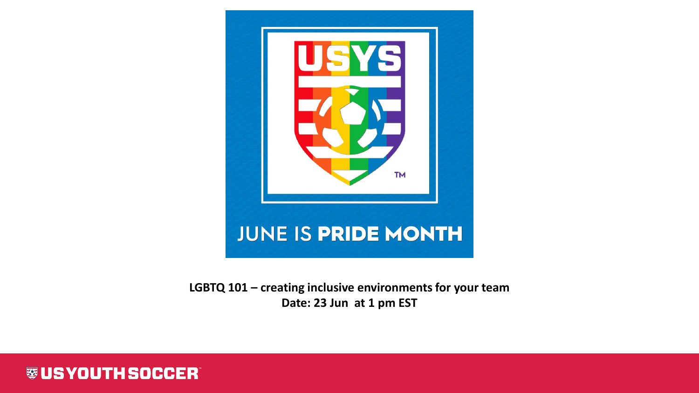

**LGBTQ 101 – creating inclusive environments for your team Date: 23 Jun at 1 pm EST**

**WUS YOUTH SOCCER**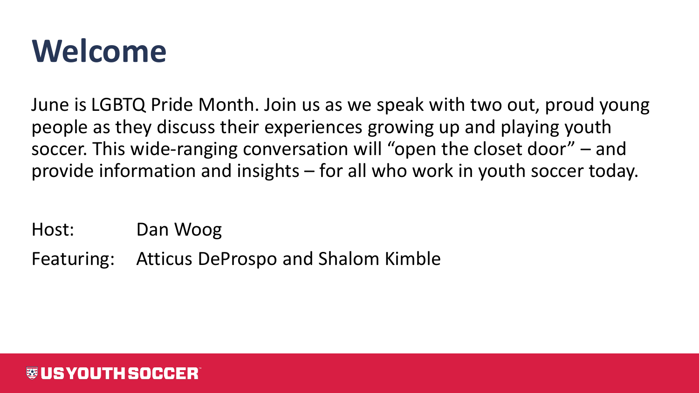#### **Welcome**

June is LGBTQ Pride Month. Join us as we speak with two out, proud young people as they discuss their experiences growing up and playing youth soccer. This wide-ranging conversation will "open the closet door" – and provide information and insights – for all who work in youth soccer today.

Host: Dan Woog

Featuring: Atticus DeProspo and Shalom Kimble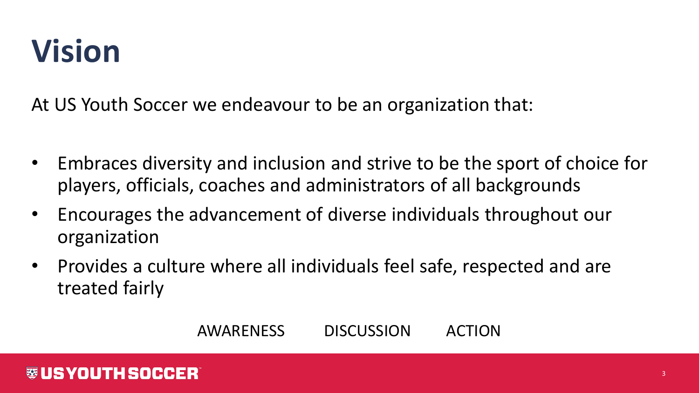## **Vision**

At US Youth Soccer we endeavour to be an organization that:

- Embraces diversity and inclusion and strive to be the sport of choice for players, officials, coaches and administrators of all backgrounds
- Encourages the advancement of diverse individuals throughout our organization
- Provides a culture where all individuals feel safe, respected and are treated fairly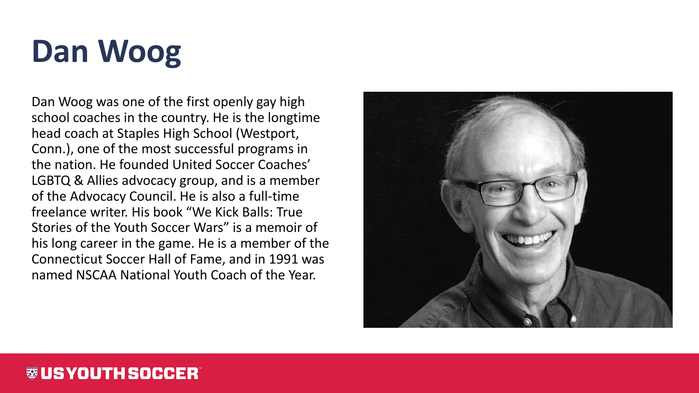# **Dan Woog**

Dan Woog was one of the first openly gay high school coaches in the country. He is the longtime head coach at Staples High School (Westport, Conn.), one of the most successful programs in the nation. He founded United Soccer Coaches' LGBTQ & Allies advocacy group, and is a member of the Advocacy Council. He is also a full-time freelance writer. His book "We Kick Balls: True Stories of the Youth Soccer Wars" is a memoir of his long career in the game. He is a member of the Connecticut Soccer Hall of Fame, and in 1991 was named NSCAA National Youth Coach of the Year.

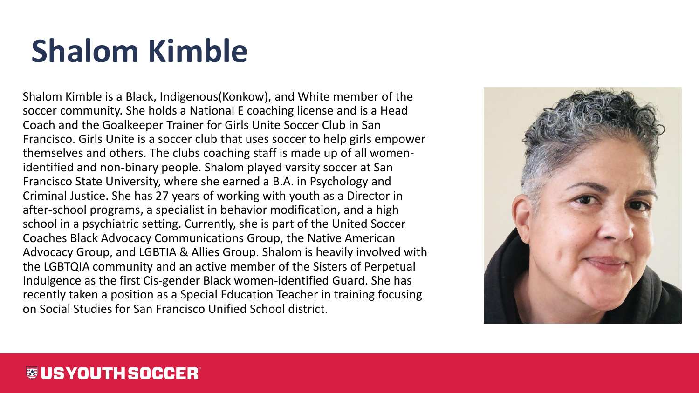# **Shalom Kimble**

Shalom Kimble is a Black, Indigenous(Konkow), and White member of the soccer community. She holds a National E coaching license and is a Head Coach and the Goalkeeper Trainer for Girls Unite Soccer Club in San Francisco. Girls Unite is a soccer club that uses soccer to help girls empower themselves and others. The clubs coaching staff is made up of all womenidentified and non-binary people. Shalom played varsity soccer at San Francisco State University, where she earned a B.A. in Psychology and Criminal Justice. She has 27 years of working with youth as a Director in after-school programs, a specialist in behavior modification, and a high school in a psychiatric setting. Currently, she is part of the United Soccer Coaches Black Advocacy Communications Group, the Native American Advocacy Group, and LGBTIA & Allies Group. Shalom is heavily involved with the LGBTQIA community and an active member of the Sisters of Perpetual Indulgence as the first Cis-gender Black women-identified Guard. She has recently taken a position as a Special Education Teacher in training focusing on Social Studies for San Francisco Unified School district.

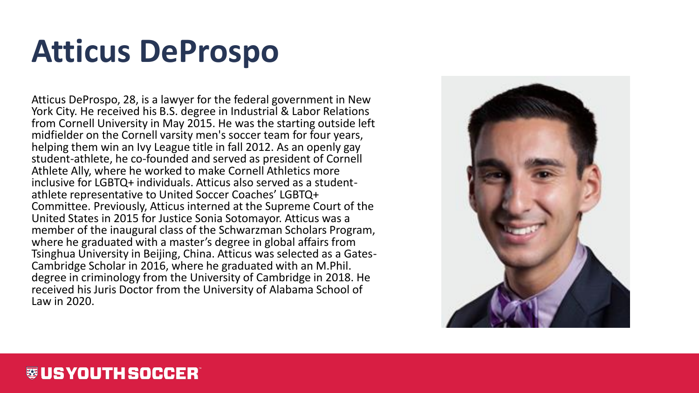### **Atticus DeProspo**

Atticus DeProspo, 28, is a lawyer for the federal government in New York City. He received his B.S. degree in Industrial & Labor Relations from Cornell University in May 2015. He was the starting outside left midfielder on the Cornell varsity men's soccer team for four years, helping them win an Ivy League title in fall 2012. As an openly gay student-athlete, he co-founded and served as president of Cornell Athlete Ally, where he worked to make Cornell Athletics more inclusive for LGBTQ+ individuals. Atticus also served as a studentathlete representative to United Soccer Coaches' LGBTQ+ Committee. Previously, Atticus interned at the Supreme Court of the United States in 2015 for Justice Sonia Sotomayor. Atticus was a member of the inaugural class of the Schwarzman Scholars Program, where he graduated with a master's degree in global affairs from Tsinghua University in Beijing, China. Atticus was selected as a Gates-Cambridge Scholar in 2016, where he graduated with an M.Phil. degree in criminology from the University of Cambridge in 2018. He received his Juris Doctor from the University of Alabama School of Law in 2020.

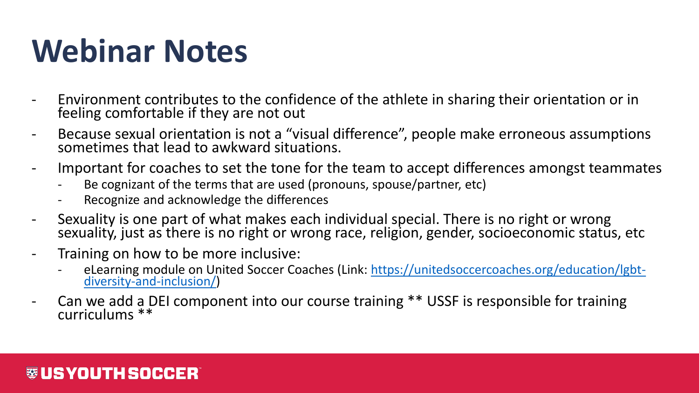## **Webinar Notes**

- Environment contributes to the confidence of the athlete in sharing their orientation or in feeling comfortable if they are not out
- Because sexual orientation is not a "visual difference", people make erroneous assumptions sometimes that lead to awkward situations.
- Important for coaches to set the tone for the team to accept differences amongst teammates
	- Be cognizant of the terms that are used (pronouns, spouse/partner, etc)
	- Recognize and acknowledge the differences
- Sexuality is one part of what makes each individual special. There is no right or wrong sexuality, just as there is no right or wrong race, religion, gender, socioeconomic status, etc
- Training on how to be more inclusive:
	- [eLearning module on United Soccer Coaches \(Link: https://unitedsoccercoaches.org/education/lgbt](https://unitedsoccercoaches.org/education/lgbt-diversity-and-inclusion/)diversity-and-inclusion/)
- Can we add a DEI component into our course training \*\* USSF is responsible for training curriculums \*\*

#### 蓼 US YOUTH SOCCER